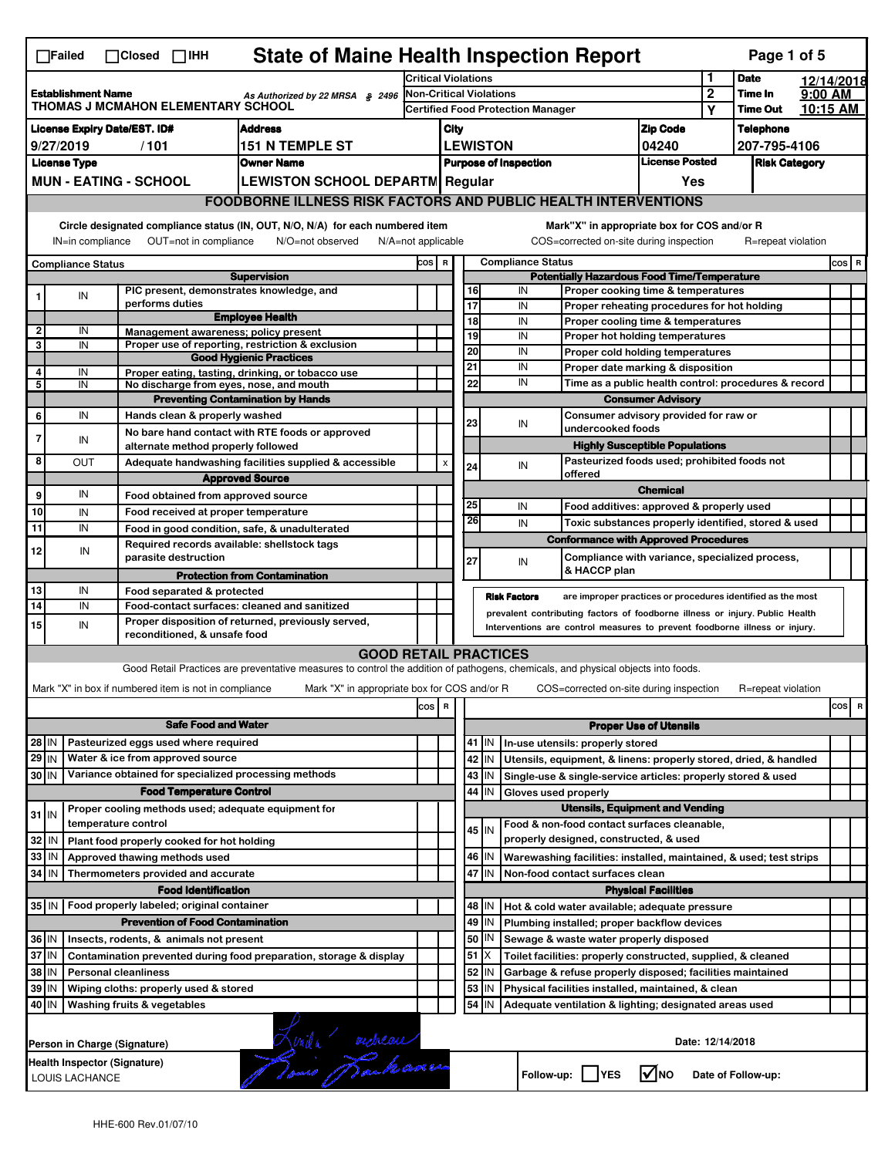| <b>State of Maine Health Inspection Report</b><br>Page 1 of 5<br>$\Box$ Failed<br>$\Box$ Closed $\Box$ IHH |                                                                                                               |                          |                                                                            |                                                                                                                                   |                                                                            |                                                                                   |          |           |                          |                                                                                                                                                            |                               |                  |                            |         |                                |
|------------------------------------------------------------------------------------------------------------|---------------------------------------------------------------------------------------------------------------|--------------------------|----------------------------------------------------------------------------|-----------------------------------------------------------------------------------------------------------------------------------|----------------------------------------------------------------------------|-----------------------------------------------------------------------------------|----------|-----------|--------------------------|------------------------------------------------------------------------------------------------------------------------------------------------------------|-------------------------------|------------------|----------------------------|---------|--------------------------------|
|                                                                                                            |                                                                                                               |                          |                                                                            |                                                                                                                                   |                                                                            | <b>Critical Violations</b>                                                        |          |           |                          |                                                                                                                                                            |                               | 1                | <b>Date</b>                |         | 12/14/2018                     |
|                                                                                                            | <b>Establishment Name</b><br>As Authorized by 22 MRSA § 2496<br>THOMAS J MCMAHON ELEMENTARY SCHOOL            |                          |                                                                            |                                                                                                                                   | <b>Non-Critical Violations</b><br><b>Certified Food Protection Manager</b> |                                                                                   |          |           |                          |                                                                                                                                                            |                               | $\overline{2}$   | Time In<br><b>Time Out</b> | 9:00 AM |                                |
|                                                                                                            |                                                                                                               |                          |                                                                            |                                                                                                                                   |                                                                            |                                                                                   |          |           |                          |                                                                                                                                                            |                               | Υ                |                            |         | 10:15 AM                       |
|                                                                                                            | <b>License Expiry Date/EST. ID#</b><br><b>Address</b>                                                         |                          |                                                                            |                                                                                                                                   |                                                                            | <b>Zip Code</b><br>City                                                           |          |           |                          |                                                                                                                                                            |                               | <b>Telephone</b> |                            |         |                                |
| <b>151 N TEMPLE ST</b><br>9/27/2019<br>/101                                                                |                                                                                                               |                          |                                                                            |                                                                                                                                   |                                                                            | <b>LEWISTON</b><br>04240<br><b>License Posted</b><br><b>Purpose of Inspection</b> |          |           |                          |                                                                                                                                                            | 207-795-4106                  |                  |                            |         |                                |
|                                                                                                            | <b>License Type</b>                                                                                           |                          |                                                                            | <b>Owner Name</b>                                                                                                                 |                                                                            |                                                                                   |          |           |                          |                                                                                                                                                            |                               |                  | <b>Risk Category</b>       |         |                                |
|                                                                                                            |                                                                                                               |                          | <b>MUN - EATING - SCHOOL</b>                                               | <b>LEWISTON SCHOOL DEPARTM Regular</b>                                                                                            |                                                                            |                                                                                   |          |           |                          |                                                                                                                                                            | Yes                           |                  |                            |         |                                |
| <b>FOODBORNE ILLNESS RISK FACTORS AND PUBLIC HEALTH INTERVENTIONS</b>                                      |                                                                                                               |                          |                                                                            |                                                                                                                                   |                                                                            |                                                                                   |          |           |                          |                                                                                                                                                            |                               |                  |                            |         |                                |
|                                                                                                            |                                                                                                               | IN=in compliance         | OUT=not in compliance                                                      | Circle designated compliance status (IN, OUT, N/O, N/A) for each numbered item<br>N/O=not observed<br>$N/A = not$ applicable      |                                                                            |                                                                                   |          |           |                          | Mark"X" in appropriate box for COS and/or R<br>COS=corrected on-site during inspection                                                                     |                               |                  | R=repeat violation         |         |                                |
|                                                                                                            |                                                                                                               |                          |                                                                            |                                                                                                                                   | COS R                                                                      |                                                                                   |          |           | <b>Compliance Status</b> |                                                                                                                                                            |                               |                  |                            |         |                                |
|                                                                                                            |                                                                                                               | <b>Compliance Status</b> |                                                                            | <b>Supervision</b>                                                                                                                |                                                                            |                                                                                   |          |           |                          | <b>Potentially Hazardous Food Time/Temperature</b>                                                                                                         |                               |                  |                            |         | cos   R                        |
|                                                                                                            |                                                                                                               | IN                       | PIC present, demonstrates knowledge, and                                   |                                                                                                                                   |                                                                            |                                                                                   | 16       |           | IN                       | Proper cooking time & temperatures                                                                                                                         |                               |                  |                            |         |                                |
|                                                                                                            |                                                                                                               |                          | performs duties                                                            |                                                                                                                                   |                                                                            |                                                                                   | 17       |           | IN                       | Proper reheating procedures for hot holding                                                                                                                |                               |                  |                            |         |                                |
| 2                                                                                                          |                                                                                                               | IN                       | Management awareness: policy present                                       | <b>Employee Health</b>                                                                                                            |                                                                            |                                                                                   | 18       |           | IN                       | Proper cooling time & temperatures                                                                                                                         |                               |                  |                            |         |                                |
| 3                                                                                                          |                                                                                                               | IN                       |                                                                            | Proper use of reporting, restriction & exclusion                                                                                  |                                                                            |                                                                                   | 19       |           | IN                       | Proper hot holding temperatures                                                                                                                            |                               |                  |                            |         |                                |
|                                                                                                            |                                                                                                               |                          |                                                                            | <b>Good Hygienic Practices</b>                                                                                                    |                                                                            |                                                                                   | 20<br>21 |           | IN<br>IN                 | Proper cold holding temperatures<br>Proper date marking & disposition                                                                                      |                               |                  |                            |         |                                |
| 4<br>5                                                                                                     |                                                                                                               | IN<br>IN                 | No discharge from eyes, nose, and mouth                                    | Proper eating, tasting, drinking, or tobacco use                                                                                  |                                                                            |                                                                                   | 22       |           | IN                       | Time as a public health control: procedures & record                                                                                                       |                               |                  |                            |         |                                |
|                                                                                                            |                                                                                                               |                          |                                                                            | <b>Preventing Contamination by Hands</b>                                                                                          |                                                                            |                                                                                   |          |           |                          |                                                                                                                                                            | <b>Consumer Advisory</b>      |                  |                            |         |                                |
| 6                                                                                                          |                                                                                                               | IN                       | Hands clean & properly washed                                              |                                                                                                                                   |                                                                            |                                                                                   |          |           |                          | Consumer advisory provided for raw or                                                                                                                      |                               |                  |                            |         |                                |
|                                                                                                            |                                                                                                               |                          |                                                                            | No bare hand contact with RTE foods or approved                                                                                   |                                                                            |                                                                                   | 23       |           | IN                       | undercooked foods                                                                                                                                          |                               |                  |                            |         |                                |
| 7                                                                                                          |                                                                                                               | IN                       | alternate method properly followed                                         |                                                                                                                                   |                                                                            |                                                                                   |          |           |                          | <b>Highly Susceptible Populations</b>                                                                                                                      |                               |                  |                            |         |                                |
| 8                                                                                                          |                                                                                                               | OUT                      |                                                                            | Adequate handwashing facilities supplied & accessible                                                                             |                                                                            | X                                                                                 | 24       |           | IN                       | Pasteurized foods used; prohibited foods not                                                                                                               |                               |                  |                            |         |                                |
|                                                                                                            |                                                                                                               |                          |                                                                            | <b>Approved Source</b>                                                                                                            |                                                                            |                                                                                   |          |           |                          | offered                                                                                                                                                    | <b>Chemical</b>               |                  |                            |         |                                |
| 9                                                                                                          |                                                                                                               | IN                       | Food obtained from approved source                                         |                                                                                                                                   |                                                                            |                                                                                   | 25       |           | IN                       |                                                                                                                                                            |                               |                  |                            |         |                                |
| 10                                                                                                         |                                                                                                               | IN                       | Food received at proper temperature                                        |                                                                                                                                   |                                                                            |                                                                                   | 26       |           | IN                       | Food additives: approved & properly used                                                                                                                   |                               |                  |                            |         |                                |
| 11                                                                                                         |                                                                                                               | IN                       | Food in good condition, safe, & unadulterated                              |                                                                                                                                   |                                                                            |                                                                                   |          |           |                          | Toxic substances properly identified, stored & used<br><b>Conformance with Approved Procedures</b>                                                         |                               |                  |                            |         |                                |
| 12                                                                                                         |                                                                                                               | IN                       | Required records available: shellstock tags<br>parasite destruction        |                                                                                                                                   |                                                                            |                                                                                   |          |           |                          | Compliance with variance, specialized process,                                                                                                             |                               |                  |                            |         |                                |
|                                                                                                            |                                                                                                               |                          |                                                                            | <b>Protection from Contamination</b>                                                                                              |                                                                            |                                                                                   | 27       |           | IN                       | & HACCP plan                                                                                                                                               |                               |                  |                            |         |                                |
| 13                                                                                                         |                                                                                                               | IN                       | Food separated & protected                                                 |                                                                                                                                   |                                                                            |                                                                                   |          |           |                          |                                                                                                                                                            |                               |                  |                            |         |                                |
| 14                                                                                                         |                                                                                                               | IN                       | Food-contact surfaces: cleaned and sanitized                               |                                                                                                                                   |                                                                            |                                                                                   |          |           | <b>Risk Factors</b>      | are improper practices or procedures identified as the most                                                                                                |                               |                  |                            |         |                                |
| 15                                                                                                         |                                                                                                               | IN                       |                                                                            | Proper disposition of returned, previously served,                                                                                |                                                                            |                                                                                   |          |           |                          | prevalent contributing factors of foodborne illness or injury. Public Health<br>Interventions are control measures to prevent foodborne illness or injury. |                               |                  |                            |         |                                |
|                                                                                                            |                                                                                                               |                          | reconditioned, & unsafe food                                               |                                                                                                                                   |                                                                            |                                                                                   |          |           |                          |                                                                                                                                                            |                               |                  |                            |         |                                |
|                                                                                                            |                                                                                                               |                          |                                                                            | <b>GOOD RETAIL PRACTICES</b>                                                                                                      |                                                                            |                                                                                   |          |           |                          |                                                                                                                                                            |                               |                  |                            |         |                                |
|                                                                                                            |                                                                                                               |                          |                                                                            | Good Retail Practices are preventative measures to control the addition of pathogens, chemicals, and physical objects into foods. |                                                                            |                                                                                   |          |           |                          |                                                                                                                                                            |                               |                  |                            |         |                                |
|                                                                                                            |                                                                                                               |                          | Mark "X" in box if numbered item is not in compliance                      | Mark "X" in appropriate box for COS and/or R                                                                                      |                                                                            |                                                                                   |          |           |                          | COS=corrected on-site during inspection                                                                                                                    |                               |                  | R=repeat violation         |         |                                |
|                                                                                                            |                                                                                                               |                          |                                                                            |                                                                                                                                   | cos R                                                                      |                                                                                   |          |           |                          |                                                                                                                                                            |                               |                  |                            |         | cos<br>$\overline{\mathbf{R}}$ |
|                                                                                                            |                                                                                                               |                          | <b>Safe Food and Water</b>                                                 |                                                                                                                                   |                                                                            |                                                                                   |          |           |                          |                                                                                                                                                            | <b>Proper Use of Utensils</b> |                  |                            |         |                                |
| 28 IN                                                                                                      |                                                                                                               |                          | Pasteurized eggs used where required                                       |                                                                                                                                   |                                                                            |                                                                                   |          | $41$   IN |                          | In-use utensils: properly stored                                                                                                                           |                               |                  |                            |         |                                |
| 29 IN                                                                                                      |                                                                                                               |                          | Water & ice from approved source                                           |                                                                                                                                   |                                                                            |                                                                                   | 42       | IN        |                          | Utensils, equipment, & linens: properly stored, dried, & handled                                                                                           |                               |                  |                            |         |                                |
| 30 IN                                                                                                      |                                                                                                               |                          | Variance obtained for specialized processing methods                       |                                                                                                                                   |                                                                            |                                                                                   | 43       | IN        |                          | Single-use & single-service articles: properly stored & used                                                                                               |                               |                  |                            |         |                                |
|                                                                                                            |                                                                                                               |                          | <b>Food Temperature Control</b>                                            |                                                                                                                                   |                                                                            |                                                                                   | 44       | IN        | Gloves used properly     |                                                                                                                                                            |                               |                  |                            |         |                                |
| $31$ IN                                                                                                    |                                                                                                               |                          | Proper cooling methods used; adequate equipment for<br>temperature control |                                                                                                                                   |                                                                            |                                                                                   |          |           |                          | <b>Utensils, Equipment and Vending</b>                                                                                                                     |                               |                  |                            |         |                                |
| 32                                                                                                         | IN                                                                                                            |                          | Plant food properly cooked for hot holding                                 |                                                                                                                                   |                                                                            |                                                                                   |          | 45 I IN   |                          | Food & non-food contact surfaces cleanable,<br>properly designed, constructed, & used                                                                      |                               |                  |                            |         |                                |
| 33                                                                                                         | IN                                                                                                            |                          | Approved thawing methods used                                              |                                                                                                                                   |                                                                            |                                                                                   | 46       | IN        |                          |                                                                                                                                                            |                               |                  |                            |         |                                |
| 34                                                                                                         | l IN                                                                                                          |                          | Thermometers provided and accurate                                         |                                                                                                                                   |                                                                            |                                                                                   |          | 47 IN     |                          | Warewashing facilities: installed, maintained, & used; test strips<br>Non-food contact surfaces clean                                                      |                               |                  |                            |         |                                |
|                                                                                                            |                                                                                                               |                          | <b>Food Identification</b>                                                 |                                                                                                                                   |                                                                            |                                                                                   |          |           |                          |                                                                                                                                                            | <b>Physical Facilities</b>    |                  |                            |         |                                |
| 35   IN                                                                                                    |                                                                                                               |                          | Food properly labeled; original container                                  |                                                                                                                                   |                                                                            |                                                                                   |          | 48   IN   |                          | Hot & cold water available; adequate pressure                                                                                                              |                               |                  |                            |         |                                |
|                                                                                                            |                                                                                                               |                          | <b>Prevention of Food Contamination</b>                                    |                                                                                                                                   |                                                                            |                                                                                   | 49       | IN        |                          | Plumbing installed; proper backflow devices                                                                                                                |                               |                  |                            |         |                                |
| 36 IN                                                                                                      |                                                                                                               |                          | Insects, rodents, & animals not present                                    |                                                                                                                                   |                                                                            |                                                                                   |          | 50   IN   |                          | Sewage & waste water properly disposed                                                                                                                     |                               |                  |                            |         |                                |
| 37 IN                                                                                                      |                                                                                                               |                          |                                                                            | Contamination prevented during food preparation, storage & display                                                                |                                                                            |                                                                                   | 51       | IX.       |                          | Toilet facilities: properly constructed, supplied, & cleaned                                                                                               |                               |                  |                            |         |                                |
|                                                                                                            | 38 IN<br>52<br>IN<br><b>Personal cleanliness</b><br>Garbage & refuse properly disposed; facilities maintained |                          |                                                                            |                                                                                                                                   |                                                                            |                                                                                   |          |           |                          |                                                                                                                                                            |                               |                  |                            |         |                                |
| 39 IN                                                                                                      |                                                                                                               |                          | Wiping cloths: properly used & stored                                      |                                                                                                                                   |                                                                            |                                                                                   | 53       | IN        |                          | Physical facilities installed, maintained, & clean                                                                                                         |                               |                  |                            |         |                                |
|                                                                                                            | 54<br>40 IN<br>Washing fruits & vegetables<br>IN<br>Adequate ventilation & lighting; designated areas used    |                          |                                                                            |                                                                                                                                   |                                                                            |                                                                                   |          |           |                          |                                                                                                                                                            |                               |                  |                            |         |                                |
|                                                                                                            |                                                                                                               |                          |                                                                            |                                                                                                                                   |                                                                            |                                                                                   |          |           |                          |                                                                                                                                                            |                               |                  |                            |         |                                |
|                                                                                                            | Date: 12/14/2018<br>Person in Charge (Signature)                                                              |                          |                                                                            |                                                                                                                                   |                                                                            |                                                                                   |          |           |                          |                                                                                                                                                            |                               |                  |                            |         |                                |
|                                                                                                            | Avida verkeur<br>Health Inspector (Signature)<br>$\sqrt{ }$ NO<br>Follow-up:     YES<br>Date of Follow-up:    |                          |                                                                            |                                                                                                                                   |                                                                            |                                                                                   |          |           |                          |                                                                                                                                                            |                               |                  |                            |         |                                |
|                                                                                                            | LOUIS LACHANCE                                                                                                |                          |                                                                            |                                                                                                                                   |                                                                            |                                                                                   |          |           |                          |                                                                                                                                                            |                               |                  |                            |         |                                |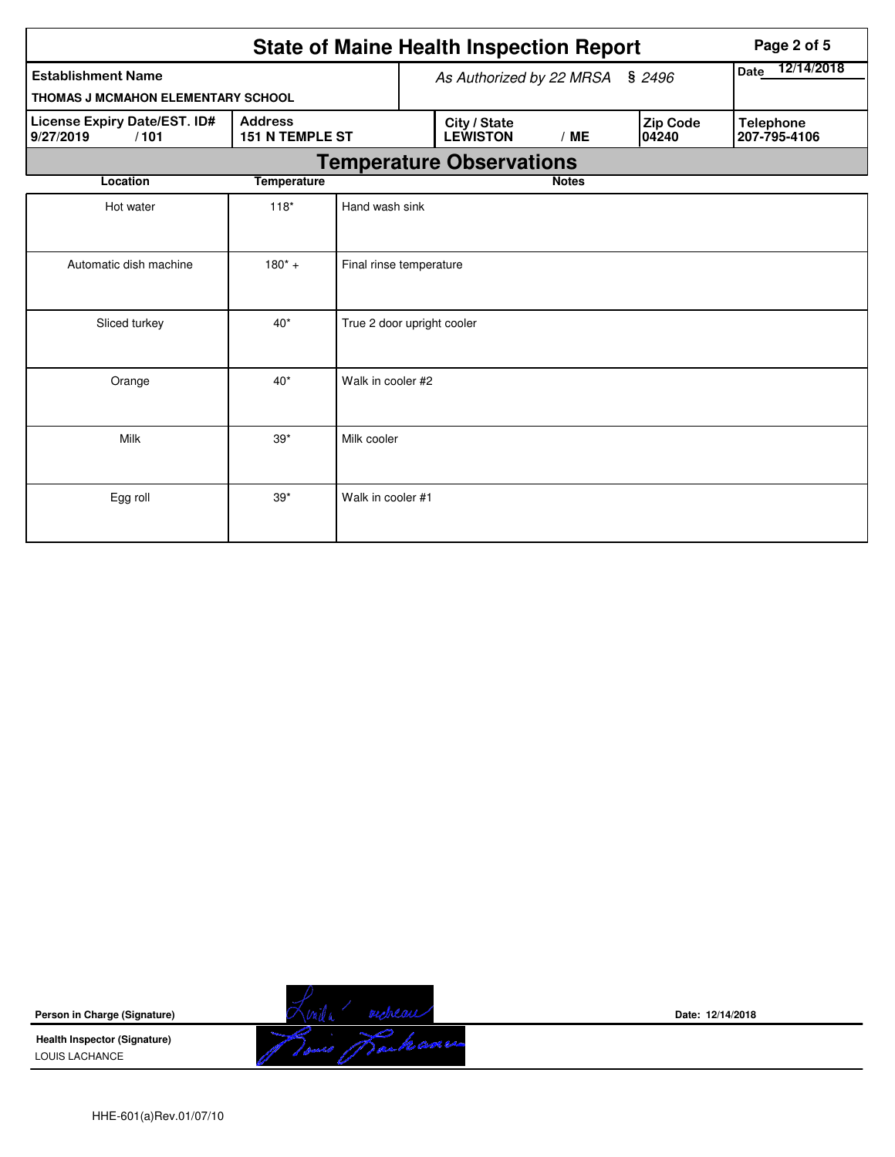| <b>State of Maine Health Inspection Report</b>                                         |                    |                            |                                 |                                 |              |  |                          | Page 2 of 5                      |  |  |
|----------------------------------------------------------------------------------------|--------------------|----------------------------|---------------------------------|---------------------------------|--------------|--|--------------------------|----------------------------------|--|--|
| <b>Establishment Name</b>                                                              |                    |                            | As Authorized by 22 MRSA § 2496 |                                 |              |  |                          | 12/14/2018<br><b>Date</b>        |  |  |
| THOMAS J MCMAHON ELEMENTARY SCHOOL                                                     |                    |                            |                                 |                                 |              |  |                          |                                  |  |  |
| License Expiry Date/EST. ID#<br><b>Address</b><br>151 N TEMPLE ST<br>/101<br>9/27/2019 |                    |                            |                                 | City / State<br><b>LEWISTON</b> | /ME          |  | <b>Zip Code</b><br>04240 | <b>Telephone</b><br>207-795-4106 |  |  |
|                                                                                        |                    |                            |                                 | <b>Temperature Observations</b> |              |  |                          |                                  |  |  |
| Location                                                                               | <b>Temperature</b> |                            |                                 |                                 | <b>Notes</b> |  |                          |                                  |  |  |
| Hot water                                                                              | $118*$             | Hand wash sink             |                                 |                                 |              |  |                          |                                  |  |  |
| Automatic dish machine                                                                 | $180^*$ +          | Final rinse temperature    |                                 |                                 |              |  |                          |                                  |  |  |
| Sliced turkey                                                                          | $40*$              | True 2 door upright cooler |                                 |                                 |              |  |                          |                                  |  |  |
| Orange                                                                                 | $40*$              | Walk in cooler #2          |                                 |                                 |              |  |                          |                                  |  |  |
| Milk                                                                                   | $39*$              | Milk cooler                |                                 |                                 |              |  |                          |                                  |  |  |
| Egg roll                                                                               | $39*$              | Walk in cooler #1          |                                 |                                 |              |  |                          |                                  |  |  |

**Person in Charge (Signature)**

**Health Inspector (Signature)**  LOUIS LACHANCE



**Date: 12/14/2018**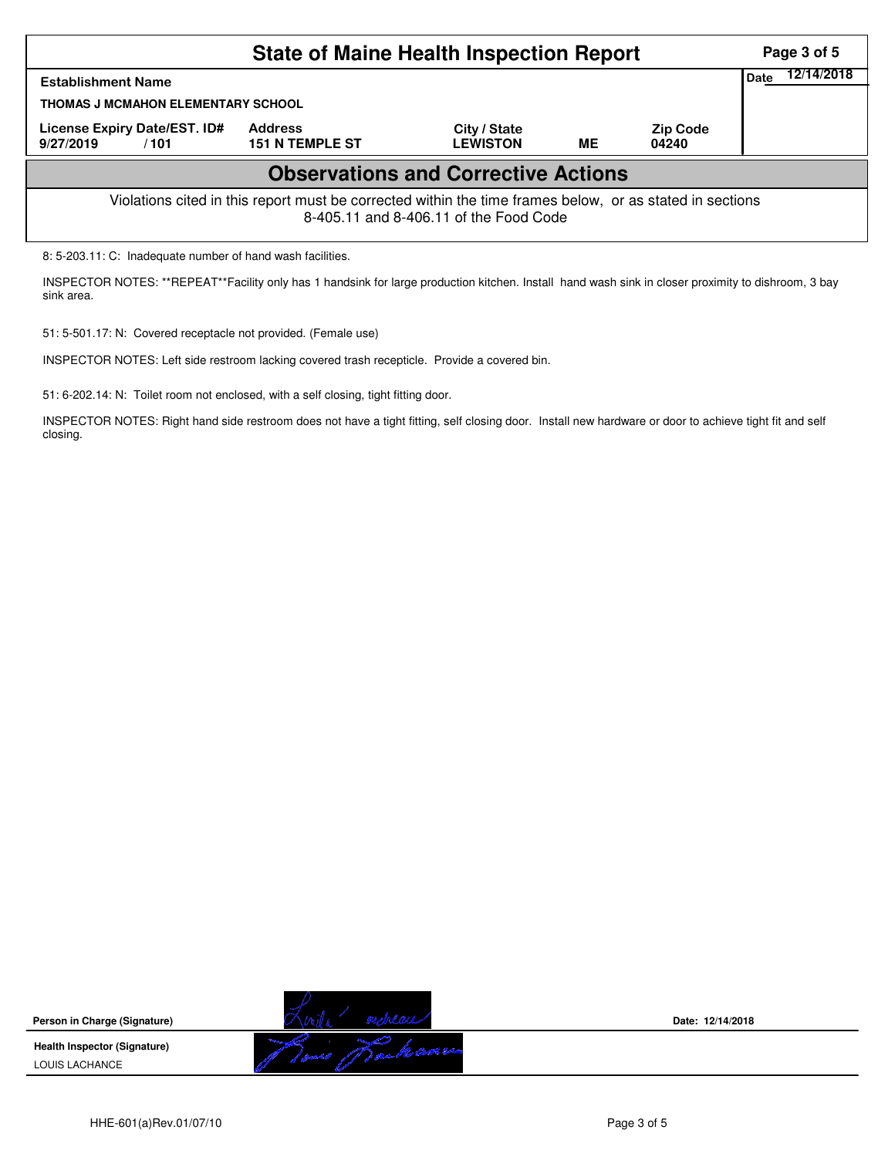|                                                                                                                                                    | Page 3 of 5                              |                                 |    |                          |      |            |  |  |
|----------------------------------------------------------------------------------------------------------------------------------------------------|------------------------------------------|---------------------------------|----|--------------------------|------|------------|--|--|
| <b>Establishment Name</b>                                                                                                                          |                                          |                                 |    |                          | Date | 12/14/2018 |  |  |
| THOMAS J MCMAHON ELEMENTARY SCHOOL                                                                                                                 |                                          |                                 |    |                          |      |            |  |  |
| License Expiry Date/EST. ID#<br>9/27/2019<br>/101                                                                                                  | <b>Address</b><br><b>151 N TEMPLE ST</b> | City / State<br><b>LEWISTON</b> | ME | <b>Zip Code</b><br>04240 |      |            |  |  |
| <b>Observations and Corrective Actions</b>                                                                                                         |                                          |                                 |    |                          |      |            |  |  |
| Violations cited in this report must be corrected within the time frames below, or as stated in sections<br>8-405.11 and 8-406.11 of the Food Code |                                          |                                 |    |                          |      |            |  |  |
| 8: 5-203.11: C: Inadequate number of hand wash facilities.                                                                                         |                                          |                                 |    |                          |      |            |  |  |

INSPECTOR NOTES: \*\*REPEAT\*\*Facility only has 1 handsink for large production kitchen. Install hand wash sink in closer proximity to dishroom, 3 bay sink area.

51: 5-501.17: N: Covered receptacle not provided. (Female use)

INSPECTOR NOTES: Left side restroom lacking covered trash recepticle. Provide a covered bin.

51: 6-202.14: N: Toilet room not enclosed, with a self closing, tight fitting door.

INSPECTOR NOTES: Right hand side restroom does not have a tight fitting, self closing door. Install new hardware or door to achieve tight fit and self closing.

**Person in Charge (Signature)**

**Health Inspector (Signature)**  LOUIS LACHANCE



**Date: 12/14/2018**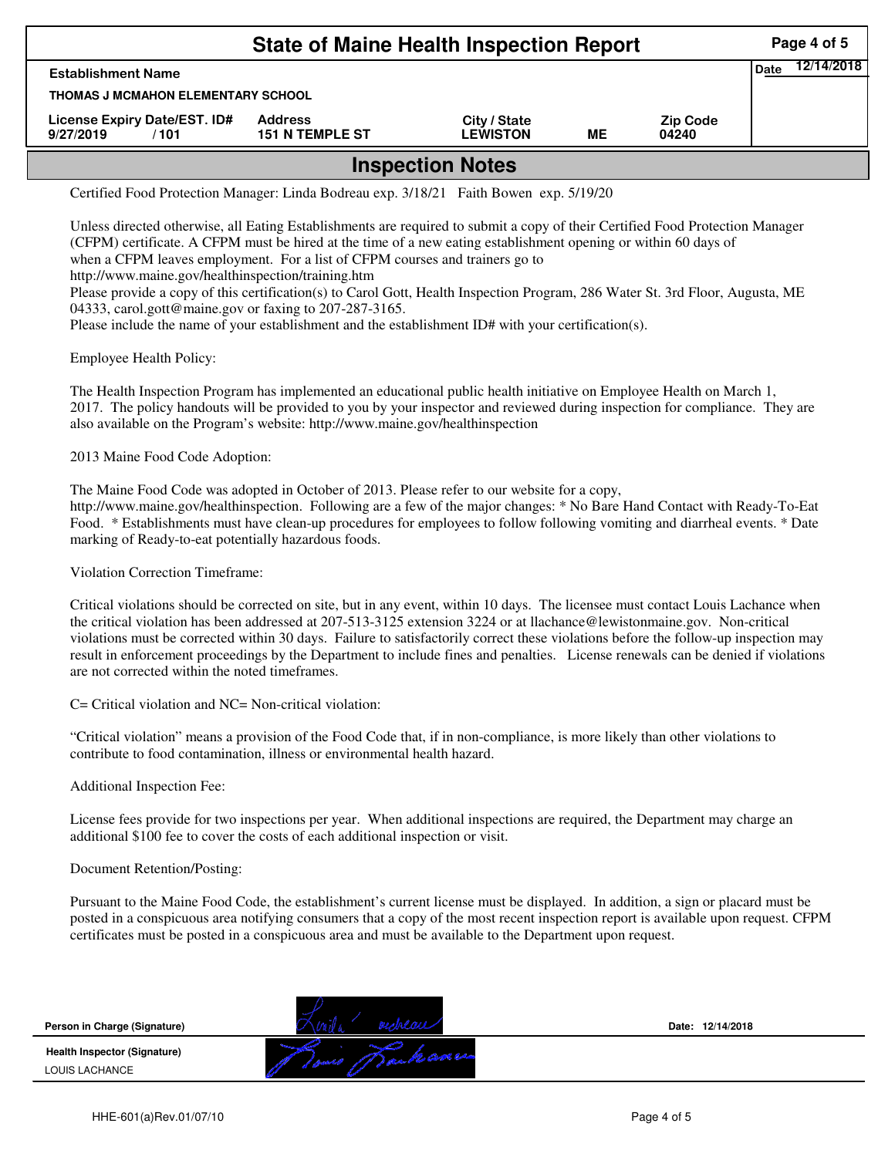| <b>State of Maine Health Inspection Report</b><br>Page 4 of 5 |                                          |                                 |    |                          |  |  |  |  |  |
|---------------------------------------------------------------|------------------------------------------|---------------------------------|----|--------------------------|--|--|--|--|--|
| 12/14/2018<br>Date<br><b>Establishment Name</b>               |                                          |                                 |    |                          |  |  |  |  |  |
| <b>THOMAS J MCMAHON ELEMENTARY SCHOOL</b>                     |                                          |                                 |    |                          |  |  |  |  |  |
| License Expiry Date/EST. ID#<br>9/27/2019<br>/101             | <b>Address</b><br><b>151 N TEMPLE ST</b> | City / State<br><b>LEWISTON</b> | MЕ | <b>Zip Code</b><br>04240 |  |  |  |  |  |
| <b>Inspection Notes</b>                                       |                                          |                                 |    |                          |  |  |  |  |  |

Certified Food Protection Manager: Linda Bodreau exp. 3/18/21 Faith Bowen exp. 5/19/20

Unless directed otherwise, all Eating Establishments are required to submit a copy of their Certified Food Protection Manager (CFPM) certificate. A CFPM must be hired at the time of a new eating establishment opening or within 60 days of when a CFPM leaves employment. For a list of CFPM courses and trainers go to http://www.maine.gov/healthinspection/training.htm Please provide a copy of this certification(s) to Carol Gott, Health Inspection Program, 286 Water St. 3rd Floor, Augusta, ME

04333, carol.gott@maine.gov or faxing to 207-287-3165. Please include the name of your establishment and the establishment ID# with your certification(s).

Employee Health Policy:

The Health Inspection Program has implemented an educational public health initiative on Employee Health on March 1, 2017. The policy handouts will be provided to you by your inspector and reviewed during inspection for compliance. They are also available on the Program's website: http://www.maine.gov/healthinspection

2013 Maine Food Code Adoption:

The Maine Food Code was adopted in October of 2013. Please refer to our website for a copy, http://www.maine.gov/healthinspection. Following are a few of the major changes: \* No Bare Hand Contact with Ready-To-Eat Food. \* Establishments must have clean-up procedures for employees to follow following vomiting and diarrheal events. \* Date marking of Ready-to-eat potentially hazardous foods.

Violation Correction Timeframe:

Critical violations should be corrected on site, but in any event, within 10 days. The licensee must contact Louis Lachance when the critical violation has been addressed at 207-513-3125 extension 3224 or at llachance@lewistonmaine.gov. Non-critical violations must be corrected within 30 days. Failure to satisfactorily correct these violations before the follow-up inspection may result in enforcement proceedings by the Department to include fines and penalties. License renewals can be denied if violations are not corrected within the noted timeframes.

C= Critical violation and NC= Non-critical violation:

"Critical violation" means a provision of the Food Code that, if in non-compliance, is more likely than other violations to contribute to food contamination, illness or environmental health hazard.

Additional Inspection Fee:

License fees provide for two inspections per year. When additional inspections are required, the Department may charge an additional \$100 fee to cover the costs of each additional inspection or visit.

## Document Retention/Posting:

Pursuant to the Maine Food Code, the establishment's current license must be displayed. In addition, a sign or placard must be posted in a conspicuous area notifying consumers that a copy of the most recent inspection report is available upon request. CFPM certificates must be posted in a conspicuous area and must be available to the Department upon request.

| Person in Charge (Signature)                                 |                                           | Date: 12/14/2018 |
|--------------------------------------------------------------|-------------------------------------------|------------------|
| <b>Health Inspector (Signature)</b><br><b>LOUIS LACHANCE</b> | (1) and the case we<br><b>CONTRACTORY</b> |                  |